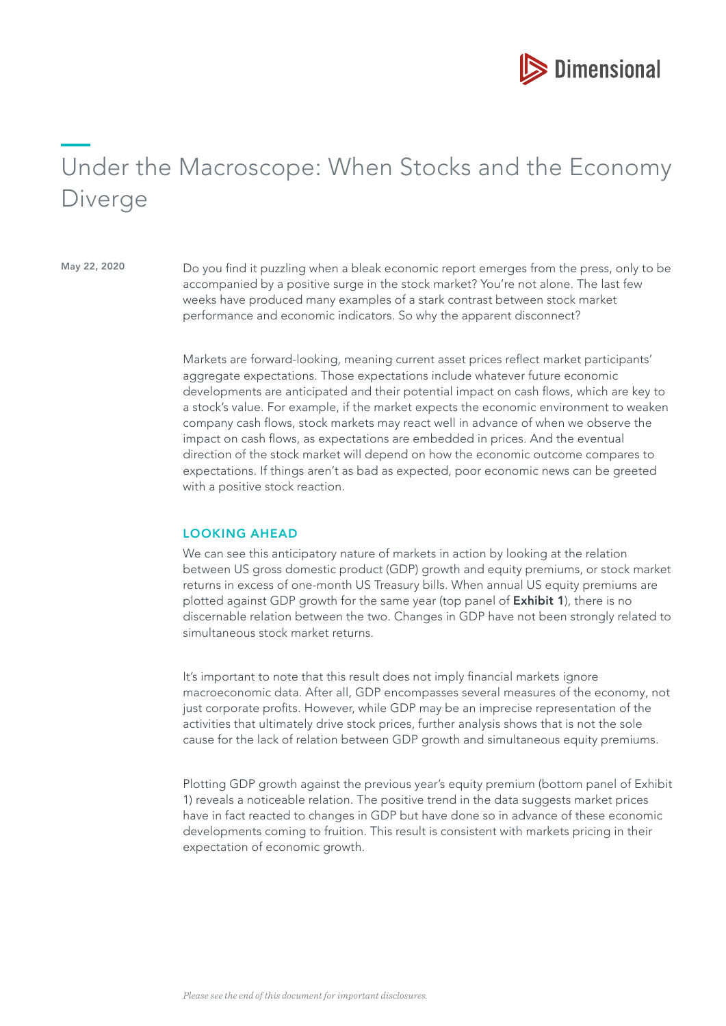

# Under the Macroscope: When Stocks and the Economy Diverge

May 22, 2020 Do you find it puzzling when a bleak economic report emerges from the press, only to be accompanied by a positive surge in the stock market? You're not alone. The last few weeks have produced many examples of a stark contrast between stock market performance and economic indicators. So why the apparent disconnect?

> Markets are forward-looking, meaning current asset prices refect market participants' aggregate expectations. Those expectations include whatever future economic developments are anticipated and their potential impact on cash fows, which are key to a stock's value. For example, if the market expects the economic environment to weaken company cash fows, stock markets may react well in advance of when we observe the impact on cash flows, as expectations are embedded in prices. And the eventual direction of the stock market will depend on how the economic outcome compares to expectations. If things aren't as bad as expected, poor economic news can be greeted with a positive stock reaction.

#### LOOKING AHEAD

We can see this anticipatory nature of markets in action by looking at the relation between US gross domestic product (GDP) growth and equity premiums, or stock market returns in excess of one-month US Treasury bills. When annual US equity premiums are plotted against GDP growth for the same year (top panel of **Exhibit 1**), there is no discernable relation between the two. Changes in GDP have not been strongly related to simultaneous stock market returns.

It's important to note that this result does not imply fnancial markets ignore macroeconomic data. After all, GDP encompasses several measures of the economy, not just corporate profts. However, while GDP may be an imprecise representation of the activities that ultimately drive stock prices, further analysis shows that is not the sole cause for the lack of relation between GDP growth and simultaneous equity premiums.

Plotting GDP growth against the previous year's equity premium (bottom panel of Exhibit 1) reveals a noticeable relation. The positive trend in the data suggests market prices have in fact reacted to changes in GDP but have done so in advance of these economic developments coming to fruition. This result is consistent with markets pricing in their expectation of economic growth.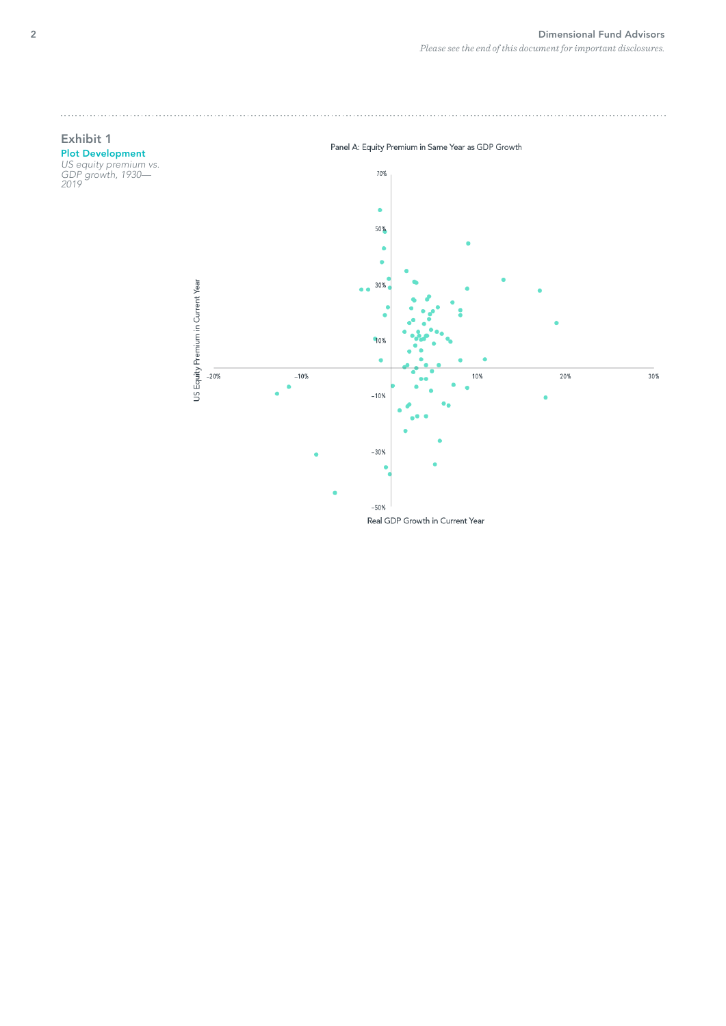

Real GDP Growth in Current Year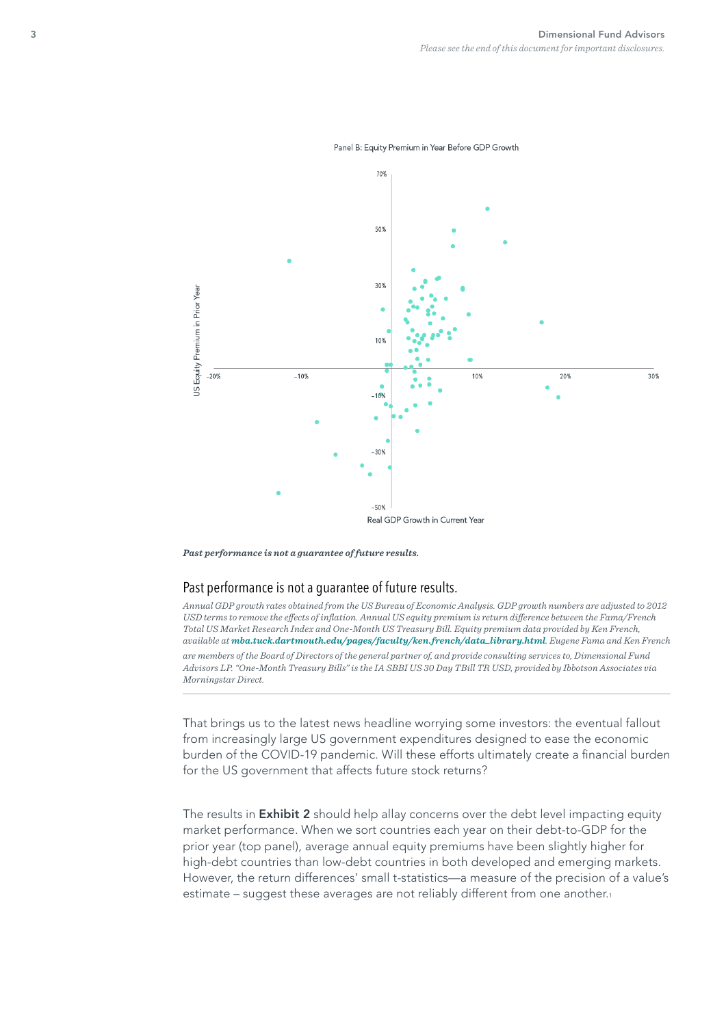



*Past performance is not a guarantee of future results.*

#### Past performance is not a guarantee of future results.

*Annual GDP growth rates obtained from the US Bureau of Economic Analysis. GDP growth numbers are adjusted to 2012 USD terms to remove the efects of infation. Annual US equity premium is return diference between the Fama/French Total US Market Research Index and One-Month US Treasury Bill. Equity premium data provided by Ken French, available at [mba.tuck.dartmouth.edu/pages/faculty/ken.french/data\\_library.html](http://mba.tuck.dartmouth.edu/pages/faculty/ken.french/data_library.html). Eugene Fama and Ken French are members of the Board of Directors of the general partner of, and provide consulting services to, Dimensional Fund Advisors LP. "One-Month Treasury Bills" is the IA SBBI US 30 Day TBill TR USD, provided by Ibbotson Associates via Morningstar Direct.*

That brings us to the latest news headline worrying some investors: the eventual fallout from increasingly large US government expenditures designed to ease the economic burden of the COVID-19 pandemic. Will these efforts ultimately create a fnancial burden for the US government that affects future stock returns?

The results in **Exhibit 2** should help allay concerns over the debt level impacting equity market performance. When we sort countries each year on their debt-to-GDP for the prior year (top panel), average annual equity premiums have been slightly higher for high-debt countries than low-debt countries in both developed and emerging markets. However, the return differences' small t-statistics—a measure of the precision of a value's estimate – suggest these averages are not reliably different from one another.1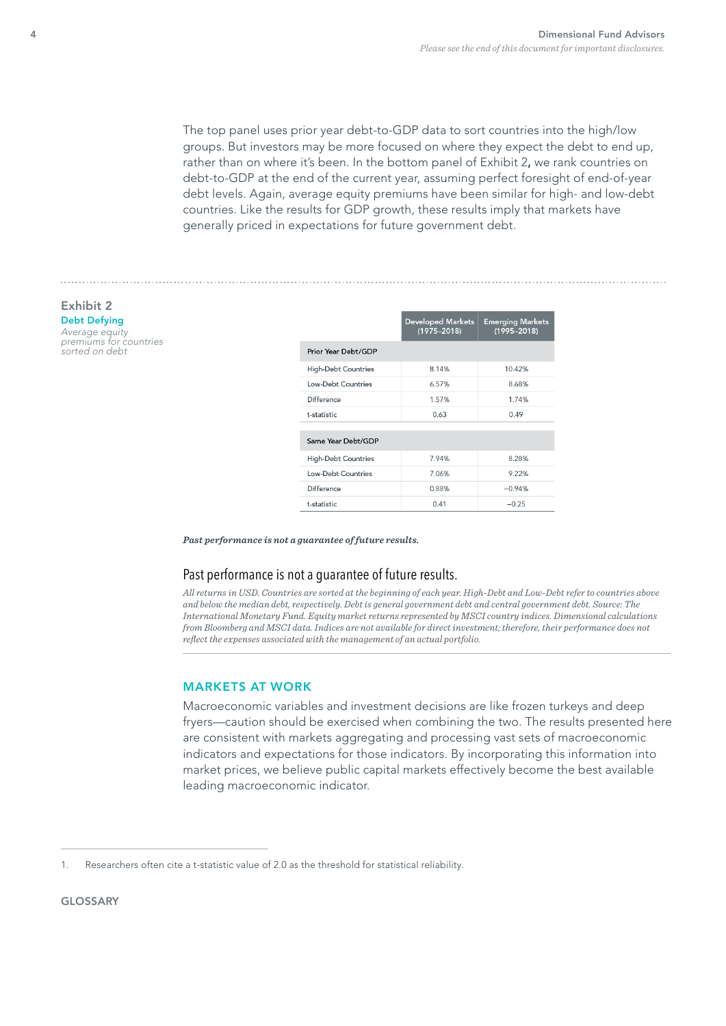The top panel uses prior year debt-to-GDP data to sort countries into the high/low groups. But investors may be more focused on where they expect the debt to end up, rather than on where it's been. In the bottom panel of Exhibit 2, we rank countries on debt-to-GDP at the end of the current year, assuming perfect foresight of end-of-year debt levels. Again, average equity premiums have been similar for high- and low-debt countries. Like the results for GDP growth, these results imply that markets have generally priced in expectations for future government debt.

#### Exhibit 2 Debt Defying

Average equity premiums for countries sorted on debt

|                            | <b>Developed Markets</b><br>$(1975 - 2018)$ | <b>Emerging Markets</b><br>$(1995 - 2018)$ |
|----------------------------|---------------------------------------------|--------------------------------------------|
| Prior Year Debt/GDP        |                                             |                                            |
| <b>High-Debt Countries</b> | 8.14%                                       | 10.42%                                     |
| Low-Debt Countries         | 6.57%                                       | 8.68%                                      |
| Difference                 | 1.57%                                       | 1.74%                                      |
| t-statistic                | 0.63                                        | 0.49                                       |
| Same Year Debt/GDP         |                                             |                                            |
| <b>High-Debt Countries</b> | 7.94%                                       | 8.28%                                      |
| Low-Debt Countries         | 7.06%                                       | 9.22%                                      |
| Difference                 | 0.88%                                       | $-0.94%$                                   |
| t-statistic                | 0.41                                        | $-0.25$                                    |

*Past performance is not a guarantee of future results.*

#### Past performance is not a guarantee of future results.

*All returns in USD. Countries are sorted at the beginning of each year. High-Debt and Low-Debt refer to countries above and below the median debt, respectively. Debt is general government debt and central government debt. Source: The International Monetary Fund. Equity market returns represented by MSCI country indices. Dimensional calculations from Bloomberg and MSCI data. Indices are not available for direct investment; therefore, their performance does not refect the expenses associated with the management of an actual portfolio.*

#### MARKETS AT WORK

Macroeconomic variables and investment decisions are like frozen turkeys and deep fryers—caution should be exercised when combining the two. The results presented here are consistent with markets aggregating and processing vast sets of macroeconomic indicators and expectations for those indicators. By incorporating this information into market prices, we believe public capital markets effectively become the best available leading macroeconomic indicator.

<sup>1.</sup> Researchers often cite a t-statistic value of 2.0 as the threshold for statistical reliability.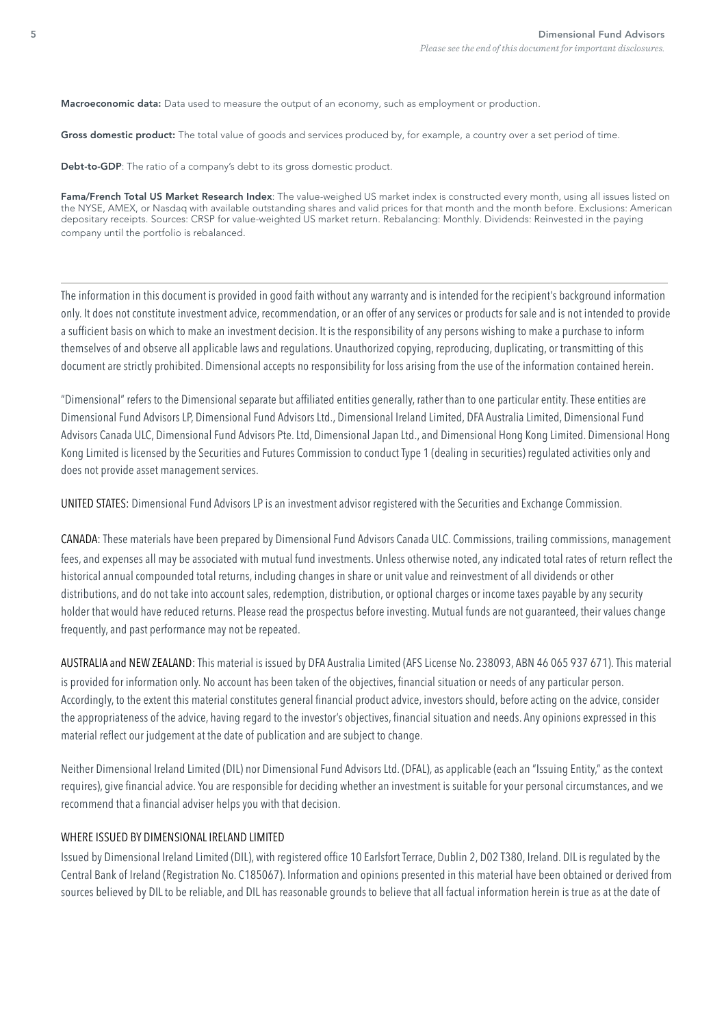Macroeconomic data: Data used to measure the output of an economy, such as employment or production.

Gross domestic product: The total value of goods and services produced by, for example, a country over a set period of time.

Debt-to-GDP: The ratio of a company's debt to its gross domestic product.

Fama/French Total US Market Research Index: The value-weighed US market index is constructed every month, using all issues listed on the NYSE, AMEX, or Nasdaq with available outstanding shares and valid prices for that month and the month before. Exclusions: American depositary receipts. Sources: CRSP for value-weighted US market return. Rebalancing: Monthly. Dividends: Reinvested in the paying company until the portfolio is rebalanced.

The information in this document is provided in good faith without any warranty and is intended for the recipient's background information only. It does not constitute investment advice, recommendation, or an offer of any services or products for sale and is not intended to provide a suffcient basis on which to make an investment decision. It is the responsibility of any persons wishing to make a purchase to inform themselves of and observe all applicable laws and regulations. Unauthorized copying, reproducing, duplicating, or transmitting of this document are strictly prohibited. Dimensional accepts no responsibility for loss arising from the use of the information contained herein.

"Dimensional" refers to the Dimensional separate but affliated entities generally, rather than to one particular entity. These entities are Dimensional Fund Advisors LP, Dimensional Fund Advisors Ltd., Dimensional Ireland Limited, DFA Australia Limited, Dimensional Fund Advisors Canada ULC, Dimensional Fund Advisors Pte. Ltd, Dimensional Japan Ltd., and Dimensional Hong Kong Limited. Dimensional Hong Kong Limited is licensed by the Securities and Futures Commission to conduct Type 1 (dealing in securities) regulated activities only and does not provide asset management services.

UNITED STATES: Dimensional Fund Advisors LP is an investment advisor registered with the Securities and Exchange Commission.

CANADA: These materials have been prepared by Dimensional Fund Advisors Canada ULC. Commissions, trailing commissions, management fees, and expenses all may be associated with mutual fund investments. Unless otherwise noted, any indicated total rates of return refect the historical annual compounded total returns, including changes in share or unit value and reinvestment of all dividends or other distributions, and do not take into account sales, redemption, distribution, or optional charges or income taxes payable by any security holder that would have reduced returns. Please read the prospectus before investing. Mutual funds are not guaranteed, their values change frequently, and past performance may not be repeated.

AUSTRALIA and NEW ZEALAND: This material is issued by DFA Australia Limited (AFS License No. 238093, ABN 46 065 937 671). This material is provided for information only. No account has been taken of the objectives, financial situation or needs of any particular person. Accordingly, to the extent this material constitutes general fnancial product advice, investors should, before acting on the advice, consider the appropriateness of the advice, having regard to the investor's objectives, fnancial situation and needs. Any opinions expressed in this material refect our judgement at the date of publication and are subject to change.

Neither Dimensional Ireland Limited (DIL) nor Dimensional Fund Advisors Ltd. (DFAL), as applicable (each an "Issuing Entity," as the context requires), give fnancial advice. You are responsible for deciding whether an investment is suitable for your personal circumstances, and we recommend that a financial adviser helps you with that decision.

#### WHERE ISSUED BY DIMENSIONAL IRELAND LIMITED

Issued by Dimensional Ireland Limited (DIL), with registered office 10 Earlsfort Terrace, Dublin 2, D02 T380, Ireland. DIL is regulated by the Central Bank of Ireland (Registration No. C185067). Information and opinions presented in this material have been obtained or derived from sources believed by DIL to be reliable, and DIL has reasonable grounds to believe that all factual information herein is true as at the date of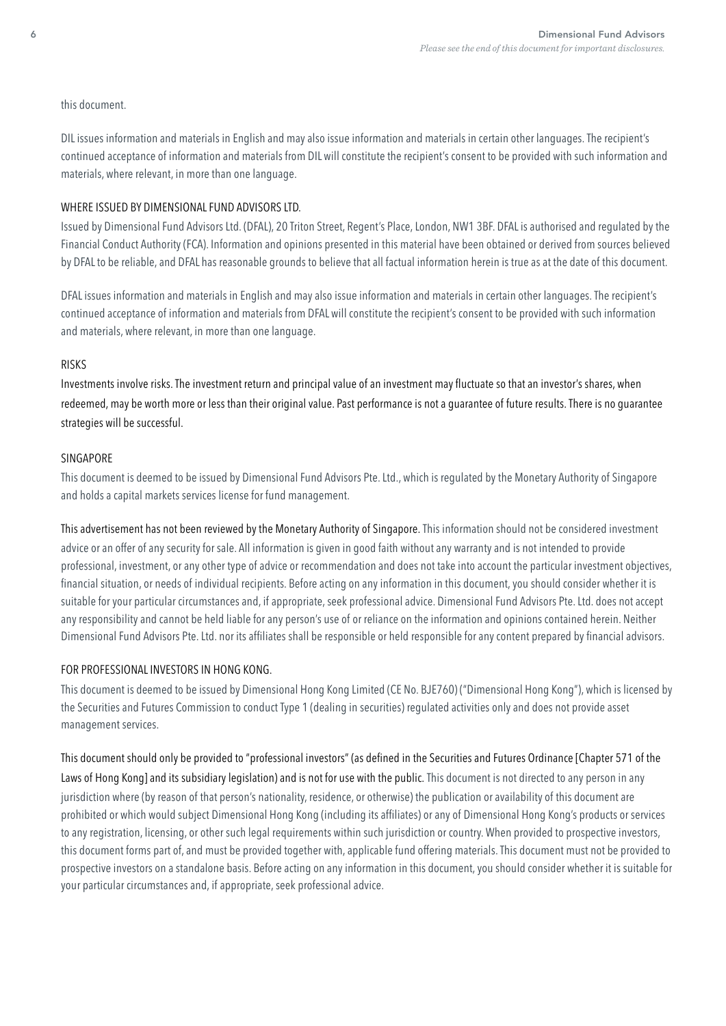#### this document.

DIL issues information and materials in English and may also issue information and materials in certain other languages. The recipient's continued acceptance of information and materials from DIL will constitute the recipient's consent to be provided with such information and materials, where relevant, in more than one language.

#### WHERE ISSUED BY DIMENSIONAL FUND ADVISORS LTD.

Issued by Dimensional Fund Advisors Ltd. (DFAL), 20 Triton Street, Regent's Place, London, NW1 3BF. DFAL is authorised and regulated by the Financial Conduct Authority (FCA). Information and opinions presented in this material have been obtained or derived from sources believed by DFAL to be reliable, and DFAL has reasonable grounds to believe that all factual information herein is true as at the date of this document.

DFAL issues information and materials in English and may also issue information and materials in certain other languages. The recipient's continued acceptance of information and materials from DFAL will constitute the recipient's consent to be provided with such information and materials, where relevant, in more than one language.

#### RISKS

Investments involve risks. The investment return and principal value of an investment may fuctuate so that an investor's shares, when redeemed, may be worth more or less than their original value. Past performance is not a guarantee of future results. There is no guarantee strategies will be successful.

## SINGAPORE

This document is deemed to be issued by Dimensional Fund Advisors Pte. Ltd., which is regulated by the Monetary Authority of Singapore and holds a capital markets services license for fund management.

This advertisement has not been reviewed by the Monetary Authority of Singapore. This information should not be considered investment advice or an offer of any security for sale. All information is given in good faith without any warranty and is not intended to provide professional, investment, or any other type of advice or recommendation and does not take into account the particular investment objectives, financial situation, or needs of individual recipients. Before acting on any information in this document, you should consider whether it is suitable for your particular circumstances and, if appropriate, seek professional advice. Dimensional Fund Advisors Pte. Ltd. does not accept any responsibility and cannot be held liable for any person's use of or reliance on the information and opinions contained herein. Neither Dimensional Fund Advisors Pte. Ltd. nor its affliates shall be responsible or held responsible for any content prepared by fnancial advisors.

## FOR PROFESSIONAL INVESTORS IN HONG KONG.

This document is deemed to be issued by Dimensional Hong Kong Limited (CE No. BJE760) ("Dimensional Hong Kong"), which is licensed by the Securities and Futures Commission to conduct Type 1 (dealing in securities) regulated activities only and does not provide asset management services.

This document should only be provided to "professional investors" (as defned in the Securities and Futures Ordinance [Chapter 571 of the Laws of Hong Kong] and its subsidiary legislation) and is not for use with the public. This document is not directed to any person in any jurisdiction where (by reason of that person's nationality, residence, or otherwise) the publication or availability of this document are prohibited or which would subject Dimensional Hong Kong (including its affliates) or any of Dimensional Hong Kong's products or services to any registration, licensing, or other such legal requirements within such jurisdiction or country. When provided to prospective investors, this document forms part of, and must be provided together with, applicable fund offering materials. This document must not be provided to prospective investors on a standalone basis. Before acting on any information in this document, you should consider whether it is suitable for your particular circumstances and, if appropriate, seek professional advice.